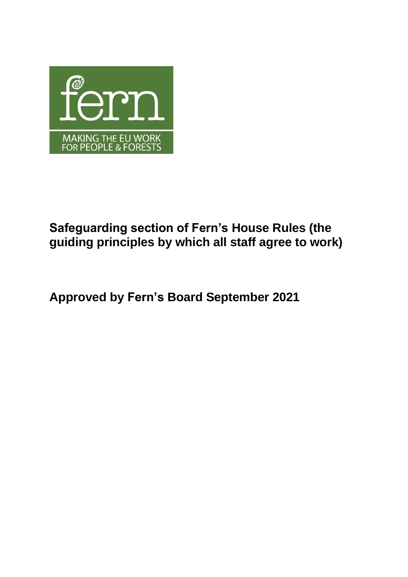

# **Safeguarding section of Fern's House Rules (the guiding principles by which all staff agree to work)**

**Approved by Fern's Board September 2021**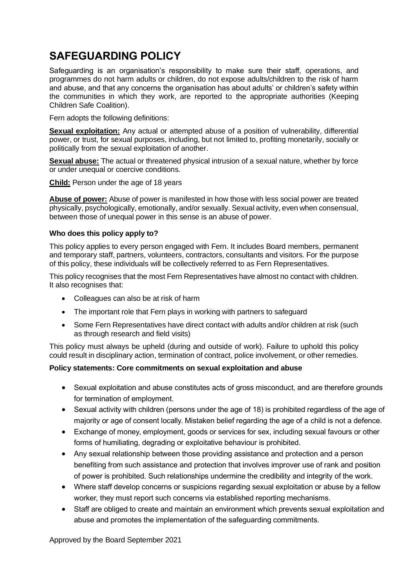## **SAFEGUARDING POLICY**

Safeguarding is an organisation's responsibility to make sure their staff, operations, and programmes do not harm adults or children, do not expose adults/children to the risk of harm and abuse, and that any concerns the organisation has about adults' or children's safety within the communities in which they work, are reported to the appropriate authorities (Keeping Children Safe Coalition).

Fern adopts the following definitions:

**Sexual exploitation:** Any actual or attempted abuse of a position of vulnerability, differential power, or trust, for sexual purposes, including, but not limited to, profiting monetarily, socially or politically from the sexual exploitation of another.

**Sexual abuse:** The actual or threatened physical intrusion of a sexual nature, whether by force or under unequal or coercive conditions.

**Child:** Person under the age of 18 years

**Abuse of power:** Abuse of power is manifested in how those with less social power are treated physically, psychologically, emotionally, and/or sexually. Sexual activity, even when consensual, between those of unequal power in this sense is an abuse of power.

## **Who does this policy apply to?**

This policy applies to every person engaged with Fern. It includes Board members, permanent and temporary staff, partners, volunteers, contractors, consultants and visitors. For the purpose of this policy, these individuals will be collectively referred to as Fern Representatives.

This policy recognises that the most Fern Representatives have almost no contact with children. It also recognises that:

- Colleagues can also be at risk of harm
- The important role that Fern plays in working with partners to safeguard
- Some Fern Representatives have direct contact with adults and/or children at risk (such as through research and field visits)

This policy must always be upheld (during and outside of work). Failure to uphold this policy could result in disciplinary action, termination of contract, police involvement, or other remedies.

## **Policy statements: Core commitments on sexual exploitation and abuse**

- Sexual exploitation and abuse constitutes acts of gross misconduct, and are therefore grounds for termination of employment.
- Sexual activity with children (persons under the age of 18) is prohibited regardless of the age of majority or age of consent locally. Mistaken belief regarding the age of a child is not a defence.
- Exchange of money, employment, goods or services for sex, including sexual favours or other forms of humiliating, degrading or exploitative behaviour is prohibited.
- Any sexual relationship between those providing assistance and protection and a person benefiting from such assistance and protection that involves improver use of rank and position of power is prohibited. Such relationships undermine the credibility and integrity of the work.
- Where staff develop concerns or suspicions regarding sexual exploitation or abuse by a fellow worker, they must report such concerns via established reporting mechanisms.
- Staff are obliged to create and maintain an environment which prevents sexual exploitation and abuse and promotes the implementation of the safeguarding commitments.

Approved by the Board September 2021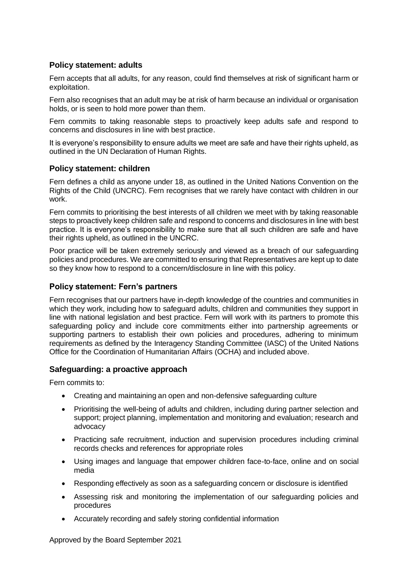## **Policy statement: adults**

Fern accepts that all adults, for any reason, could find themselves at risk of significant harm or exploitation.

Fern also recognises that an adult may be at risk of harm because an individual or organisation holds, or is seen to hold more power than them.

Fern commits to taking reasonable steps to proactively keep adults safe and respond to concerns and disclosures in line with best practice.

It is everyone's responsibility to ensure adults we meet are safe and have their rights upheld, as outlined in the UN Declaration of Human Rights.

## **Policy statement: children**

Fern defines a child as anyone under 18, as outlined in the United Nations Convention on the Rights of the Child (UNCRC). Fern recognises that we rarely have contact with children in our work.

Fern commits to prioritising the best interests of all children we meet with by taking reasonable steps to proactively keep children safe and respond to concerns and disclosures in line with best practice. It is everyone's responsibility to make sure that all such children are safe and have their rights upheld, as outlined in the UNCRC.

Poor practice will be taken extremely seriously and viewed as a breach of our safeguarding policies and procedures. We are committed to ensuring that Representatives are kept up to date so they know how to respond to a concern/disclosure in line with this policy.

## **Policy statement: Fern's partners**

Fern recognises that our partners have in-depth knowledge of the countries and communities in which they work, including how to safeguard adults, children and communities they support in line with national legislation and best practice. Fern will work with its partners to promote this safeguarding policy and include core commitments either into partnership agreements or supporting partners to establish their own policies and procedures, adhering to minimum requirements as defined by the Interagency Standing Committee (IASC) of the United Nations Office for the Coordination of Humanitarian Affairs (OCHA) and included above.

## **Safeguarding: a proactive approach**

Fern commits to:

- Creating and maintaining an open and non-defensive safeguarding culture
- Prioritising the well-being of adults and children, including during partner selection and support; project planning, implementation and monitoring and evaluation; research and advocacy
- Practicing safe recruitment, induction and supervision procedures including criminal records checks and references for appropriate roles
- Using images and language that empower children face-to-face, online and on social media
- Responding effectively as soon as a safeguarding concern or disclosure is identified
- Assessing risk and monitoring the implementation of our safeguarding policies and procedures
- Accurately recording and safely storing confidential information

Approved by the Board September 2021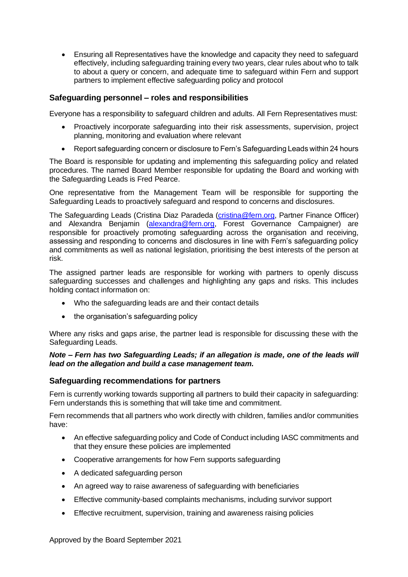• Ensuring all Representatives have the knowledge and capacity they need to safeguard effectively, including safeguarding training every two years, clear rules about who to talk to about a query or concern, and adequate time to safeguard within Fern and support partners to implement effective safeguarding policy and protocol

## **Safeguarding personnel – roles and responsibilities**

Everyone has a responsibility to safeguard children and adults. All Fern Representatives must:

- Proactively incorporate safeguarding into their risk assessments, supervision, project planning, monitoring and evaluation where relevant
- Report safeguarding concern or disclosure to Fern's Safeguarding Leads within 24 hours

The Board is responsible for updating and implementing this safeguarding policy and related procedures. The named Board Member responsible for updating the Board and working with the Safeguarding Leads is Fred Pearce.

One representative from the Management Team will be responsible for supporting the Safeguarding Leads to proactively safeguard and respond to concerns and disclosures.

The Safeguarding Leads (Cristina Diaz Paradeda [\(cristina@fern.org,](mailto:cristina@fern.org) Partner Finance Officer) and Alexandra Benjamin [\(alexandra@fern.org,](mailto:alexandra@fern.org) Forest Governance Campaigner) are responsible for proactively promoting safeguarding across the organisation and receiving, assessing and responding to concerns and disclosures in line with Fern's safeguarding policy and commitments as well as national legislation, prioritising the best interests of the person at risk.

The assigned partner leads are responsible for working with partners to openly discuss safeguarding successes and challenges and highlighting any gaps and risks. This includes holding contact information on:

- Who the safeguarding leads are and their contact details
- the organisation's safeguarding policy

Where any risks and gaps arise, the partner lead is responsible for discussing these with the Safeguarding Leads.

#### *Note – Fern has two Safeguarding Leads; if an allegation is made, one of the leads will lead on the allegation and build a case management team.*

## **Safeguarding recommendations for partners**

Fern is currently working towards supporting all partners to build their capacity in safeguarding: Fern understands this is something that will take time and commitment.

Fern recommends that all partners who work directly with children, families and/or communities have:

- An effective safeguarding policy and Code of Conduct including IASC commitments and that they ensure these policies are implemented
- Cooperative arrangements for how Fern supports safeguarding
- A dedicated safeguarding person
- An agreed way to raise awareness of safeguarding with beneficiaries
- Effective community-based complaints mechanisms, including survivor support
- Effective recruitment, supervision, training and awareness raising policies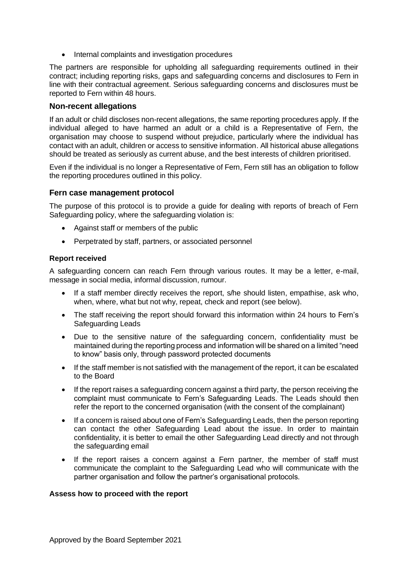• Internal complaints and investigation procedures

The partners are responsible for upholding all safeguarding requirements outlined in their contract; including reporting risks, gaps and safeguarding concerns and disclosures to Fern in line with their contractual agreement. Serious safeguarding concerns and disclosures must be reported to Fern within 48 hours.

#### **Non-recent allegations**

If an adult or child discloses non-recent allegations, the same reporting procedures apply. If the individual alleged to have harmed an adult or a child is a Representative of Fern, the organisation may choose to suspend without prejudice, particularly where the individual has contact with an adult, children or access to sensitive information. All historical abuse allegations should be treated as seriously as current abuse, and the best interests of children prioritised.

Even if the individual is no longer a Representative of Fern, Fern still has an obligation to follow the reporting procedures outlined in this policy.

#### **Fern case management protocol**

The purpose of this protocol is to provide a guide for dealing with reports of breach of Fern Safeguarding policy, where the safeguarding violation is:

- <span id="page-4-0"></span>• Against staff or members of the public
- Perpetrated by staff, partners, or associated personnel

#### **Report received**

A safeguarding concern can reach Fern through various routes. It may be a letter, e-mail, message in social media, informal discussion, rumour.

- If a staff member directly receives the report, s/he should listen, empathise, ask who, when, where, what but not why, repeat, check and report (see below).
- The staff receiving the report should forward this information within 24 hours to Fern's Safeguarding Leads
- Due to the sensitive nature of the safeguarding concern, confidentiality must be maintained during the reporting process and information will be shared on a limited "need to know" basis only, through password protected documents
- If the staff member is not satisfied with the management of the report, it can be escalated to the Board
- If the report raises a safeguarding concern against a third party, the person receiving the complaint must communicate to Fern's Safeguarding Leads. The Leads should then refer the report to the concerned organisation (with the consent of the complainant)
- If a concern is raised about one of Fern's Safeguarding Leads, then the person reporting can contact the other Safeguarding Lead about the issue. In order to maintain confidentiality, it is better to email the other Safeguarding Lead directly and not through the safeguarding email
- If the report raises a concern against a Fern partner, the member of staff must communicate the complaint to the Safeguarding Lead who will communicate with the partner organisation and follow the partner's organisational protocols.

#### **Assess how to proceed with the report**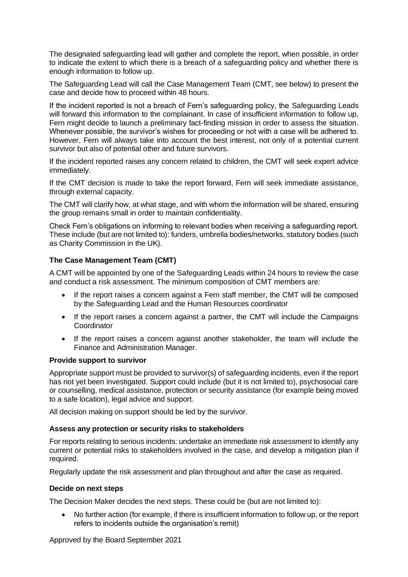The designated safeguarding lead will gather and complete the report, when possible, in order to indicate the extent to which there is a breach of a safeguarding policy and whether there is enough information to follow up.

The Safeguarding Lead will call the Case Management Team (CMT, see below) to present the case and decide how to proceed within 48 hours.

If the incident reported is not a breach of Fern's safeguarding policy, the Safeguarding Leads will forward this information to the complainant. In case of insufficient information to follow up, Fern might decide to launch a preliminary fact-finding mission in order to assess the situation. Whenever possible, the survivor's wishes for proceeding or not with a case will be adhered to. However, Fern will always take into account the best interest, not only of a potential current survivor but also of potential other and future survivors.

If the incident reported raises any concern related to children, the CMT will seek expert advice immediately.

If the CMT decision is made to take the report forward, Fern will seek immediate assistance, through external capacity.

The CMT will clarify how, at what stage, and with whom the information will be shared, ensuring the group remains small in order to maintain confidentiality.

Check Fern's obligations on informing to relevant bodies when receiving a safeguarding report. These include (but are not limited to): funders, umbrella bodies/networks, statutory bodies (such as Charity Commission in the UK).

## **The Case Management Team (CMT)**

A CMT will be appointed by one of the Safeguarding Leads within 24 hours to review the case and conduct a risk assessment. The minimum composition of CMT members are:

- If the report raises a concern against a Fern staff member, the CMT will be composed by the Safeguarding Lead and the Human Resources coordinator
- If the report raises a concern against a partner, the CMT will include the Campaigns **Coordinator**
- If the report raises a concern against another stakeholder, the team will include the Finance and Administration Manager.

#### **Provide support to survivor**

Appropriate support must be provided to survivor(s) of safeguarding incidents, even if the report has not yet been investigated. Support could include (but it is not limited to), psychosocial care or counselling, medical assistance, protection or security assistance (for example being moved to a safe location), legal advice and support.

All decision making on support should be led by the survivor.

## **Assess any protection or security risks to stakeholders**

For reports relating to serious incidents: undertake an immediate risk assessment to identify any current or potential risks to stakeholders involved in the case, and develop a mitigation plan if required.

Regularly update the risk assessment and plan throughout and after the case as required.

#### **Decide on next steps**

The Decision Maker decides the next steps. These could be (but are not limited to):

• No further action (for example, if there is insufficient information to follow up, or the report refers to incidents outside the organisation's remit)

Approved by the Board September 2021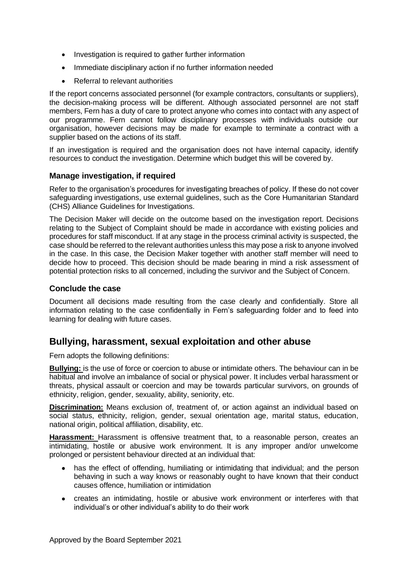- Investigation is required to gather further information
- Immediate disciplinary action if no further information needed
- Referral to relevant authorities

If the report concerns associated personnel (for example contractors, consultants or suppliers), the decision-making process will be different. Although associated personnel are not staff members, Fern has a duty of care to protect anyone who comes into contact with any aspect of our programme. Fern cannot follow disciplinary processes with individuals outside our organisation, however decisions may be made for example to terminate a contract with a supplier based on the actions of its staff.

If an investigation is required and the organisation does not have internal capacity, identify resources to conduct the investigation. Determine which budget this will be covered by.

## **Manage investigation, if required**

Refer to the organisation's procedures for investigating breaches of policy. If these do not cover safeguarding investigations, use external guidelines, such as the Core Humanitarian Standard (CHS) Alliance Guidelines for Investigations.

The Decision Maker will decide on the outcome based on the investigation report. Decisions relating to the Subject of Complaint should be made in accordance with existing policies and procedures for staff misconduct. If at any stage in the process criminal activity is suspected, the case should be referred to the relevant authorities unless this may pose a risk to anyone involved in the case. In this case, the Decision Maker together with another staff member will need to decide how to proceed. This decision should be made bearing in mind a risk assessment of potential protection risks to all concerned, including the survivor and the Subject of Concern.

## **Conclude the case**

Document all decisions made resulting from the case clearly and confidentially. Store all information relating to the case confidentially in Fern's safeguarding folder and to feed into learning for dealing with future cases.

## **Bullying, harassment, sexual exploitation and other abuse**

Fern adopts the following definitions:

**Bullying:** is the use of force or coercion to abuse or intimidate others. The behaviour can in be habitual and involve an imbalance of social or physical power. It includes verbal harassment or threats, physical assault or coercion and may be towards particular survivors, on grounds of ethnicity, religion, gender, sexuality, ability, seniority, etc.

**Discrimination:** Means exclusion of, treatment of, or action against an individual based on social status, ethnicity, religion, gender, sexual orientation age, marital status, education, national origin, political affiliation, disability, etc.

**Harassment:** Harassment is offensive treatment that, to a reasonable person, creates an intimidating, hostile or abusive work environment. It is any improper and/or unwelcome prolonged or persistent behaviour directed at an individual that:

- has the effect of offending, humiliating or intimidating that individual; and the person behaving in such a way knows or reasonably ought to have known that their conduct causes offence, humiliation or intimidation
- creates an intimidating, hostile or abusive work environment or interferes with that individual's or other individual's ability to do their work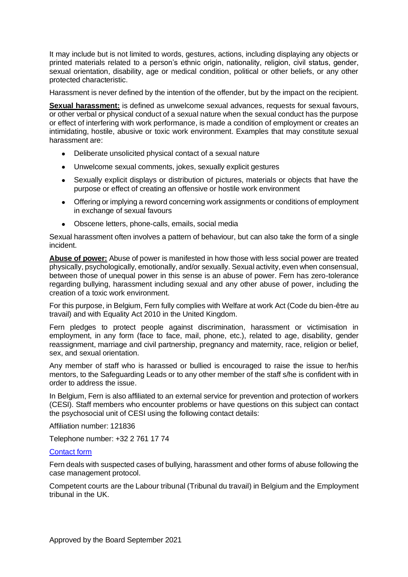It may include but is not limited to words, gestures, actions, including displaying any objects or printed materials related to a person's ethnic origin, nationality, religion, civil status, gender, sexual orientation, disability, age or medical condition, political or other beliefs, or any other protected characteristic.

Harassment is never defined by the intention of the offender, but by the impact on the recipient.

**Sexual harassment:** is defined as unwelcome sexual advances, requests for sexual favours, or other verbal or physical conduct of a sexual nature when the sexual conduct has the purpose or effect of interfering with work performance, is made a condition of employment or creates an intimidating, hostile, abusive or toxic work environment. Examples that may constitute sexual harassment are:

- Deliberate unsolicited physical contact of a sexual nature
- Unwelcome sexual comments, jokes, sexually explicit gestures
- Sexually explicit displays or distribution of pictures, materials or objects that have the purpose or effect of creating an offensive or hostile work environment
- Offering or implying a reword concerning work assignments or conditions of employment in exchange of sexual favours
- Obscene letters, phone-calls, emails, social media

Sexual harassment often involves a pattern of behaviour, but can also take the form of a single incident.

**Abuse of power:** Abuse of power is manifested in how those with less social power are treated physically, psychologically, emotionally, and/or sexually. Sexual activity, even when consensual, between those of unequal power in this sense is an abuse of power. Fern has zero-tolerance regarding bullying, harassment including sexual and any other abuse of power, including the creation of a toxic work environment.

For this purpose, in Belgium, Fern fully complies with Welfare at work Act (Code du bien-être au travail) and with [Equality Act 2010](http://www.legislation.gov.uk/ukpga/2010/15/contents) in the United Kingdom.

Fern pledges to protect people against discrimination, harassment or victimisation in employment, in any form (face to face, mail, phone, etc.), related to age, disability, gender reassignment, marriage and civil partnership, pregnancy and maternity, race, religion or belief, sex, and sexual orientation.

Any member of staff who is harassed or bullied is encouraged to raise the issue to her/his mentors, to the Safeguarding Leads or to any other member of the staff s/he is confident with in order to address the issue.

In Belgium, Fern is also affiliated to an external service for prevention and protection of workers (CESI). Staff members who encounter problems or have questions on this subject can contact the psychosocial unit of CESI using the following contact details:

Affiliation number: 121836

Telephone number: +32 2 761 17 74

#### [Contact form](https://www.cesi.be/fr/contact-unite-psychosociale-affilie)

Fern deals with suspected cases of bullying, harassment and other forms of abuse following the case management protocol.

Competent courts are the Labour tribunal [\(Tribunal du travail\)](https://www.tribunaux-rechtbanken.be/fr/rechtbanken-en-hoven/tribunal-du-travail) in Belgium and the [Employment](https://www.gov.uk/employment-tribunals)  [tribunal](https://www.gov.uk/employment-tribunals) in the UK.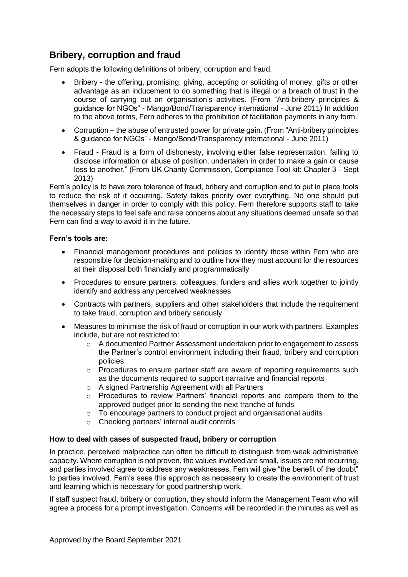## **Bribery, corruption and fraud**

Fern adopts the following definitions of bribery, corruption and fraud.

- Bribery the offering, promising, giving, accepting or soliciting of money, gifts or other advantage as an inducement to do something that is illegal or a breach of trust in the course of carrying out an organisation's activities. (From "Anti-bribery principles & guidance for NGOs" - Mango/Bond/Transparency international - June 2011) In addition to the above terms, Fern adheres to the prohibition of facilitation payments in any form.
- Corruption the abuse of entrusted power for private gain. (From "Anti-bribery principles & guidance for NGOs" - Mango/Bond/Transparency international - June 2011)
- Fraud Fraud is a form of dishonesty, involving either false representation, failing to disclose information or abuse of position, undertaken in order to make a gain or cause loss to another." (From UK Charity Commission, Compliance Tool kit: Chapter 3 - Sept 2013)

Fern's policy is to have zero tolerance of fraud, bribery and corruption and to put in place tools to reduce the risk of it occurring. Safety takes priority over everything. No one should put themselves in danger in order to comply with this policy. Fern therefore supports staff to take the necessary steps to feel safe and raise concerns about any situations deemed unsafe so that Fern can find a way to avoid it in the future.

## **Fern's tools are:**

- Financial management procedures and policies to identify those within Fern who are responsible for decision-making and to outline how they must account for the resources at their disposal both financially and programmatically
- Procedures to ensure partners, colleagues, funders and allies work together to jointly identify and address any perceived weaknesses
- Contracts with partners, suppliers and other stakeholders that include the requirement to take fraud, corruption and bribery seriously
- Measures to minimise the risk of fraud or corruption in our work with partners. Examples include, but are not restricted to:
	- $\circ$  A documented Partner Assessment undertaken prior to engagement to assess the Partner's control environment including their fraud, bribery and corruption policies
	- o Procedures to ensure partner staff are aware of reporting requirements such as the documents required to support narrative and financial reports
	- o A signed Partnership Agreement with all Partners
	- o Procedures to review Partners' financial reports and compare them to the approved budget prior to sending the next tranche of funds
	- o To encourage partners to conduct project and organisational audits
	- o Checking partners' internal audit controls

#### **How to deal with cases of suspected fraud, bribery or corruption**

In practice, perceived malpractice can often be difficult to distinguish from weak administrative capacity. Where corruption is not proven, the values involved are small, issues are not recurring, and parties involved agree to address any weaknesses, Fern will give "the benefit of the doubt" to parties involved. Fern's sees this approach as necessary to create the environment of trust and learning which is necessary for good partnership work.

If staff suspect fraud, bribery or corruption, they should inform the Management Team who will agree a process for a prompt investigation. Concerns will be recorded in the minutes as well as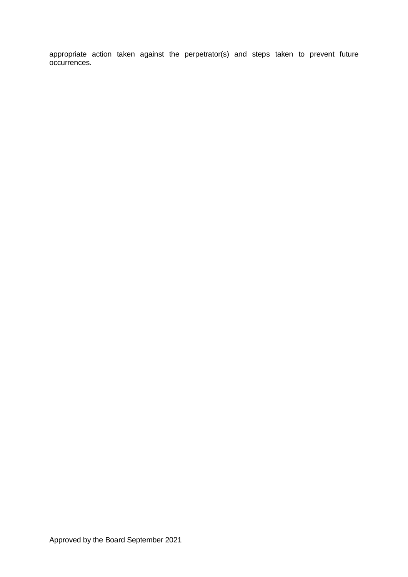appropriate action taken against the perpetrator(s) and steps taken to prevent future occurrences.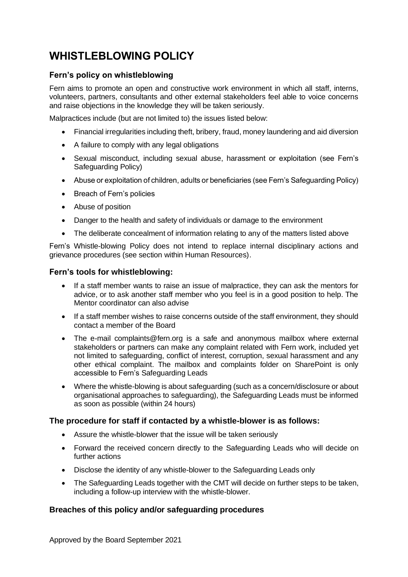## **WHISTLEBLOWING POLICY**

## **Fern's policy on whistleblowing**

Fern aims to promote an open and constructive work environment in which all staff, interns, volunteers, partners, consultants and other external stakeholders feel able to voice concerns and raise objections in the knowledge they will be taken seriously.

Malpractices include (but are not limited to) the issues listed below:

- Financial irregularities including theft, bribery, fraud, money laundering and aid diversion
- A failure to comply with any legal obligations
- Sexual misconduct, including sexual abuse, harassment or exploitation (see Fern's Safeguarding Policy)
- Abuse or exploitation of children, adults or beneficiaries (see Fern's Safeguarding Policy)
- Breach of Fern's policies
- Abuse of position
- Danger to the health and safety of individuals or damage to the environment
- The deliberate concealment of information relating to any of the matters listed above

Fern's Whistle-blowing Policy does not intend to replace internal disciplinary actions and grievance procedures (see section within Human Resources).

## **Fern's tools for whistleblowing:**

- If a staff member wants to raise an issue of malpractice, they can ask the mentors for advice, or to ask another staff member who you feel is in a good position to help. The Mentor coordinator can also advise
- If a staff member wishes to raise concerns outside of the staff environment, they should contact a member of the Board
- The e-mail [complaints@fern.org](mailto:complaints@fern.org) is a safe and anonymous mailbox where external stakeholders or partners can make any complaint related with Fern work, included yet not limited to safeguarding, conflict of interest, corruption, sexual harassment and any other ethical complaint. The mailbox and complaints folder on SharePoint is only accessible to Fern's Safeguarding Leads
- Where the whistle-blowing is about safeguarding (such as a concern/disclosure or about organisational approaches to safeguarding), the Safeguarding Leads must be informed as soon as possible (within 24 hours)

## **The procedure for staff if contacted by a whistle-blower is as follows:**

- Assure the whistle-blower that the issue will be taken seriously
- Forward the received concern directly to the Safeguarding Leads who will decide on further actions
- Disclose the identity of any whistle-blower to the Safeguarding Leads only
- The Safeguarding Leads together with the CMT will decide on further steps to be taken, including a follow-up interview with the whistle-blower.

## **Breaches of this policy and/or safeguarding procedures**